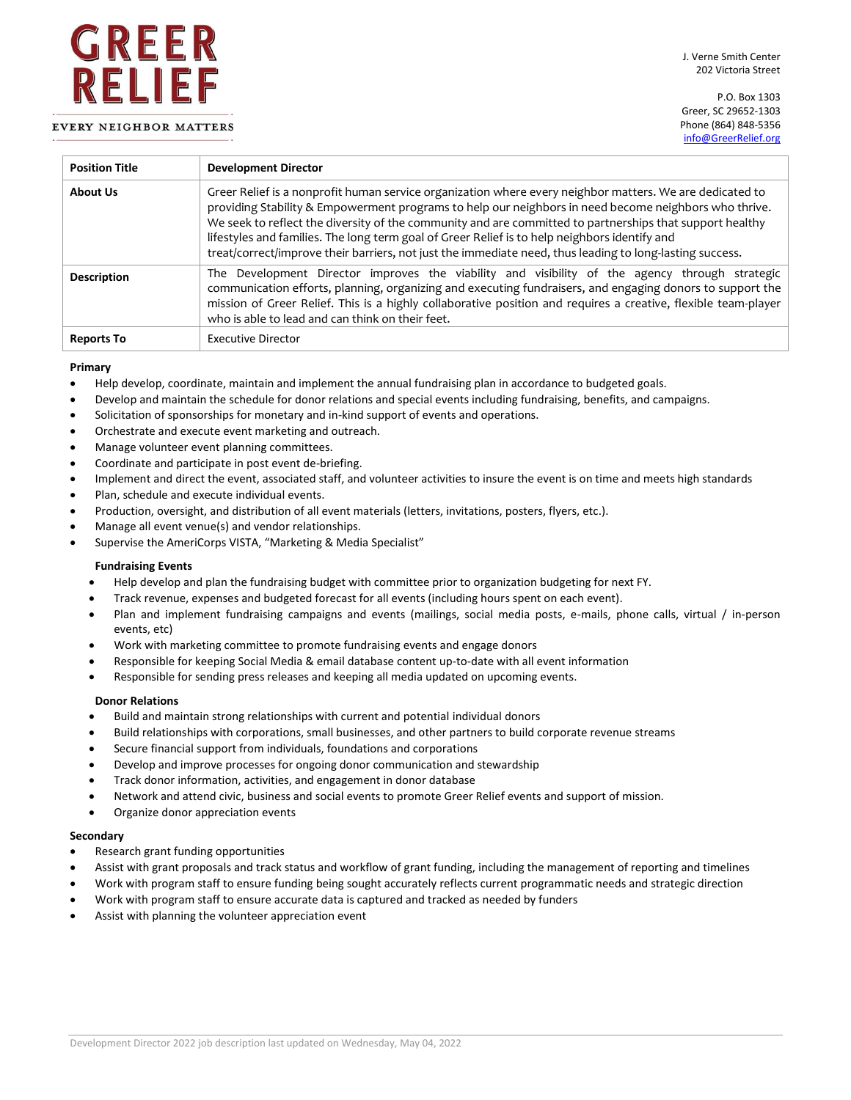# **EVERY NEIGHBOR MATTERS**

GREER

RELIEF

P.O. Box 1303 Greer, SC 29652-1303 Phone (864) 848-5356 [info@GreerRelief.org](mailto:info@GreerRelief.org?subject=Question%20from%20greerrelief.org)

| <b>Position Title</b> | <b>Development Director</b>                                                                                                                                                                                                                                                                                                                                                                                                                                                                                                                |
|-----------------------|--------------------------------------------------------------------------------------------------------------------------------------------------------------------------------------------------------------------------------------------------------------------------------------------------------------------------------------------------------------------------------------------------------------------------------------------------------------------------------------------------------------------------------------------|
| <b>About Us</b>       | Greer Relief is a nonprofit human service organization where every neighbor matters. We are dedicated to<br>providing Stability & Empowerment programs to help our neighbors in need become neighbors who thrive.<br>We seek to reflect the diversity of the community and are committed to partnerships that support healthy<br>lifestyles and families. The long term goal of Greer Relief is to help neighbors identify and<br>treat/correct/improve their barriers, not just the immediate need, thus leading to long-lasting success. |
| <b>Description</b>    | The Development Director improves the viability and visibility of the agency through strategic<br>communication efforts, planning, organizing and executing fundraisers, and engaging donors to support the<br>mission of Greer Relief. This is a highly collaborative position and requires a creative, flexible team-player<br>who is able to lead and can think on their feet.                                                                                                                                                          |
| <b>Reports To</b>     | Executive Director                                                                                                                                                                                                                                                                                                                                                                                                                                                                                                                         |

### **Primary**

- Help develop, coordinate, maintain and implement the annual fundraising plan in accordance to budgeted goals.
- Develop and maintain the schedule for donor relations and special events including fundraising, benefits, and campaigns.
- Solicitation of sponsorships for monetary and in-kind support of events and operations.
- Orchestrate and execute event marketing and outreach.
- Manage volunteer event planning committees.
- Coordinate and participate in post event de-briefing.
- Implement and direct the event, associated staff, and volunteer activities to insure the event is on time and meets high standards
- Plan, schedule and execute individual events.
- Production, oversight, and distribution of all event materials (letters, invitations, posters, flyers, etc.).
- Manage all event venue(s) and vendor relationships.
- Supervise the AmeriCorps VISTA, "Marketing & Media Specialist"

### **Fundraising Events**

- Help develop and plan the fundraising budget with committee prior to organization budgeting for next FY.
- Track revenue, expenses and budgeted forecast for all events (including hours spent on each event).
- Plan and implement fundraising campaigns and events (mailings, social media posts, e-mails, phone calls, virtual / in-person events, etc)
- Work with marketing committee to promote fundraising events and engage donors
- Responsible for keeping Social Media & email database content up-to-date with all event information
- Responsible for sending press releases and keeping all media updated on upcoming events.

### **Donor Relations**

- Build and maintain strong relationships with current and potential individual donors
- Build relationships with corporations, small businesses, and other partners to build corporate revenue streams
- Secure financial support from individuals, foundations and corporations
- Develop and improve processes for ongoing donor communication and stewardship
- Track donor information, activities, and engagement in donor database
- Network and attend civic, business and social events to promote Greer Relief events and support of mission.
- Organize donor appreciation events

### **Secondary**

- Research grant funding opportunities
- Assist with grant proposals and track status and workflow of grant funding, including the management of reporting and timelines
- Work with program staff to ensure funding being sought accurately reflects current programmatic needs and strategic direction
- Work with program staff to ensure accurate data is captured and tracked as needed by funders
- Assist with planning the volunteer appreciation event